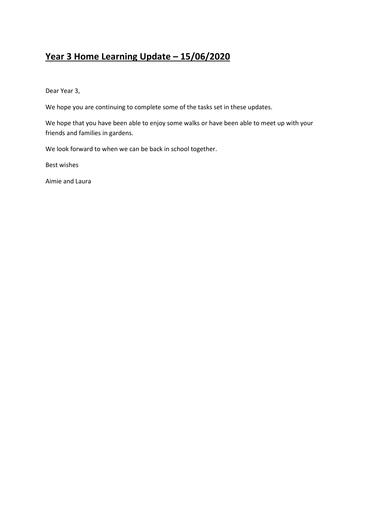### **Year 3 Home Learning Update – 15/06/2020**

Dear Year 3,

We hope you are continuing to complete some of the tasks set in these updates.

We hope that you have been able to enjoy some walks or have been able to meet up with your friends and families in gardens.

We look forward to when we can be back in school together.

Best wishes

Aimie and Laura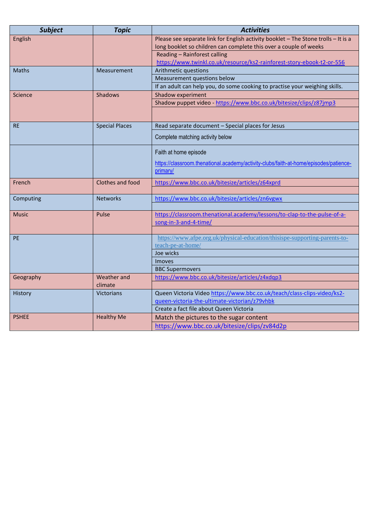| <b>Subject</b> | <b>Topic</b>          | <b>Activities</b>                                                                     |
|----------------|-----------------------|---------------------------------------------------------------------------------------|
| English        |                       | Please see separate link for English activity booklet - The Stone trolls - It is a    |
|                |                       | long booklet so children can complete this over a couple of weeks                     |
|                |                       | Reading - Rainforest calling                                                          |
|                |                       | https://www.twinkl.co.uk/resource/ks2-rainforest-story-ebook-t2-or-556                |
| <b>Maths</b>   | Measurement           | Arithmetic questions                                                                  |
|                |                       | Measurement questions below                                                           |
|                |                       | If an adult can help you, do some cooking to practise your weighing skills.           |
| Science        | <b>Shadows</b>        | Shadow experiment                                                                     |
|                |                       | Shadow puppet video - https://www.bbc.co.uk/bitesize/clips/z87jmp3                    |
|                |                       |                                                                                       |
| <b>RE</b>      | <b>Special Places</b> | Read separate document - Special places for Jesus                                     |
|                |                       | Complete matching activity below                                                      |
|                |                       | Faith at home episode                                                                 |
|                |                       | https://classroom.thenational.academy/activity-clubs/faith-at-home/episodes/patience- |
|                |                       | primary/                                                                              |
| French         | Clothes and food      | https://www.bbc.co.uk/bitesize/articles/z64xprd                                       |
|                |                       |                                                                                       |
| Computing      | <b>Networks</b>       | https://www.bbc.co.uk/bitesize/articles/zn6vgwx                                       |
|                |                       |                                                                                       |
| <b>Music</b>   | Pulse                 | https://classroom.thenational.academy/lessons/to-clap-to-the-pulse-of-a-              |
|                |                       | song-in-3-and-4-time/                                                                 |
|                |                       |                                                                                       |
| <b>PE</b>      |                       | https://www.afpe.org.uk/physical-education/thisispe-supporting-parents-to-            |
|                |                       | teach-pe-at-home/                                                                     |
|                |                       | Joe wicks                                                                             |
|                |                       | <b>Imoves</b>                                                                         |
|                |                       | <b>BBC Supermovers</b>                                                                |
| Geography      | Weather and           | https://www.bbc.co.uk/bitesize/articles/z4xdqp3                                       |
|                | climate               |                                                                                       |
| History        | <b>Victorians</b>     | Queen Victoria Video https://www.bbc.co.uk/teach/class-clips-video/ks2-               |
|                |                       | queen-victoria-the-ultimate-victorian/z79vhbk                                         |
| <b>PSHEE</b>   |                       | Create a fact file about Queen Victoria                                               |
|                | <b>Healthy Me</b>     | Match the pictures to the sugar content                                               |
|                |                       | https://www.bbc.co.uk/bitesize/clips/zv84d2p                                          |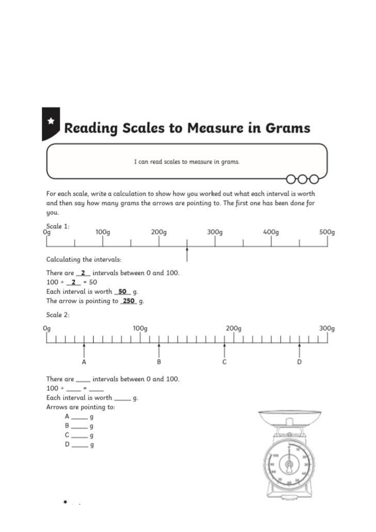# **Reading Scales to Measure in Grams**

I can read scales to measure in grams.

For each scale, write a calculation to show how you worked out what each interval is worth and then say how many grams the arrows are pointing to. The first one has been done for you.



۰ e.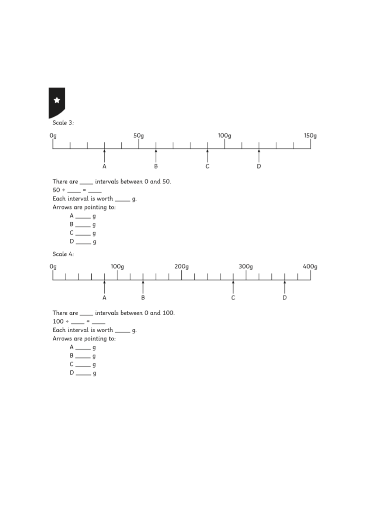

 $D \frac{1}{\sqrt{2}}$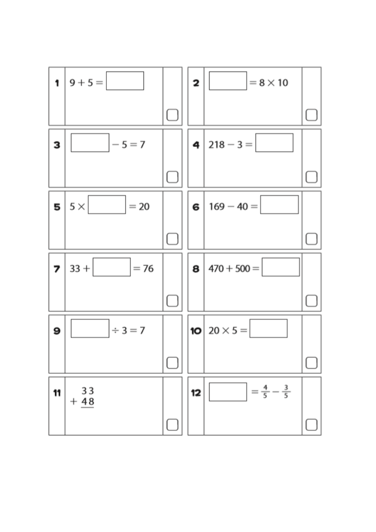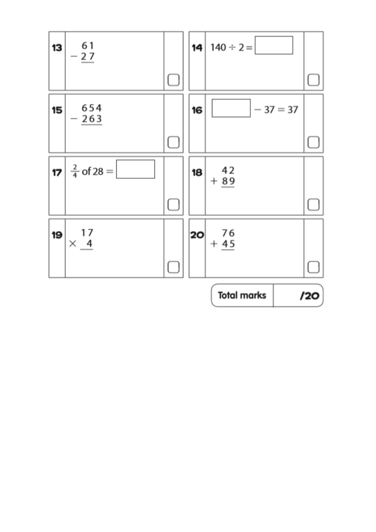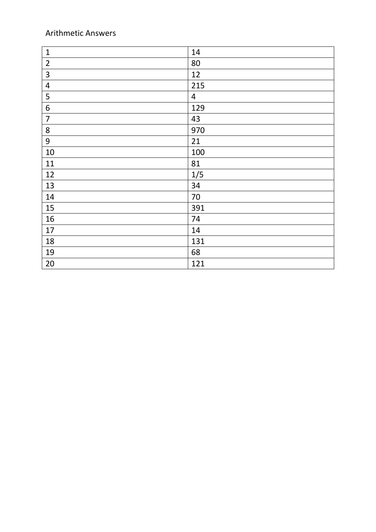#### Arithmetic Answers

| $\mathbf 1$             | 14             |
|-------------------------|----------------|
| $\overline{2}$          | 80             |
| $\overline{\mathbf{3}}$ | 12             |
| $\overline{\mathbf{4}}$ | 215            |
| 5                       | $\overline{4}$ |
| $\boldsymbol{6}$        | 129            |
| $\overline{7}$          | 43             |
| $\bf 8$                 | 970            |
| 9                       | 21             |
| 10                      | 100            |
| 11                      | 81             |
| 12                      | 1/5            |
| 13                      | 34             |
| 14                      | 70             |
| 15                      | 391            |
| 16                      | 74             |
| 17                      | 14             |
| 18                      | 131            |
| 19                      | 68             |
| 20                      | 121            |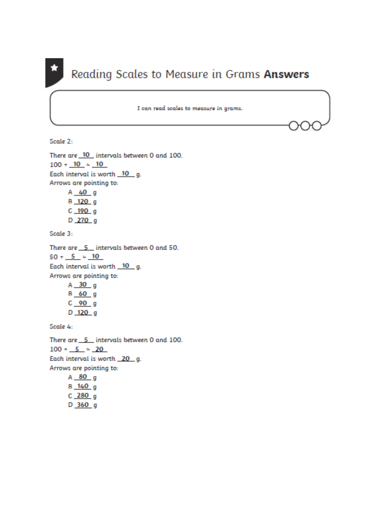## Reading Scales to Measure in Grams Answers

I can read scales to measure in grams.

Scale 2:

```
There are 10 intervals between 0 and 100.
100 \div 10 = 10Each interval is worth 10 g.
Arrows are pointing to:
     A 40 g
     B_120qC 190 qD_{270 g}
```
Scale 3:

```
There are 5 intervals between 0 and 50.
50 \div 5 = 10Each interval is worth 10 g.
Arrows are pointing to:
     A 30 q
```
 $B$  60 g  $C$  90  $g$ D 120 g

Scale 4:

There are  $5$  intervals between 0 and 100.  $100 \div 5 = 20$ Each interval is worth 20 g. Arrows are pointing to:  $A$  80  $q$  $B = 140$ 

 $C_{280g}$  $D$  360 g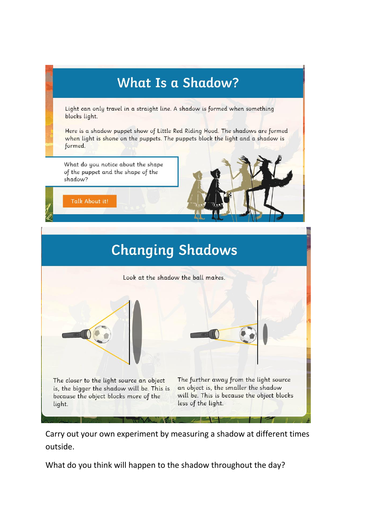

Carry out your own experiment by measuring a shadow at different times outside.

What do you think will happen to the shadow throughout the day?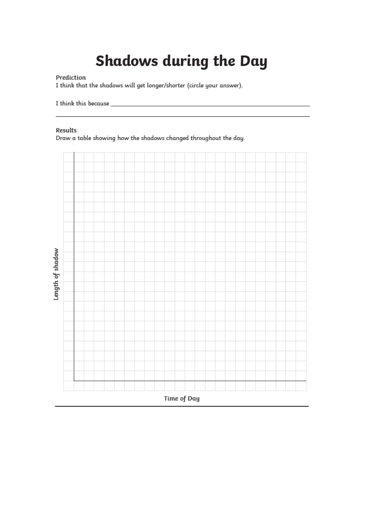# **Shadows during the Day**

Prediction

I think that the shadows will get longer/shorter (circle your answer).

#### Results

Draw a table showing how the shadows changed throughout the day.

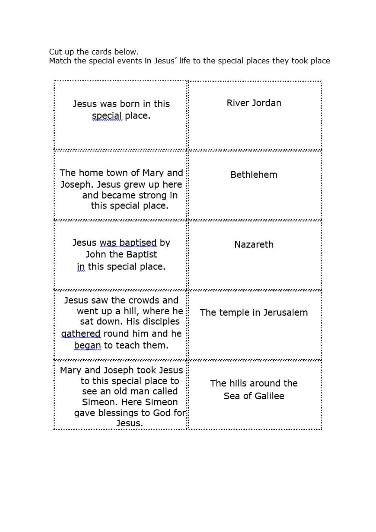Cut up the cards below.<br>Match the special events in Jesus' life to the special places they took place

| Jesus was born in this<br>special place.                                                                                                        | River Jordan                           |
|-------------------------------------------------------------------------------------------------------------------------------------------------|----------------------------------------|
| The home town of Mary and<br>Joseph. Jesus grew up here<br>and became strong in<br>this special place.                                          | Bethlehem                              |
| Jesus <u>was baptised</u> by<br>John the Baptist<br>in this special place.                                                                      | Nazareth                               |
| Jesus saw the crowds and<br>went up a hill, where he<br>sat down. His disciples<br>gathered round him and he<br><u>began</u> to teach them.     | The temple in Jerusalem                |
| Mary and Joseph took Jesus<br>to this special place to<br>see an old man called<br>Simeon. Here Simeon<br>gave blessings to God for::<br>Jesus. | The hills around the<br>Sea of Galilee |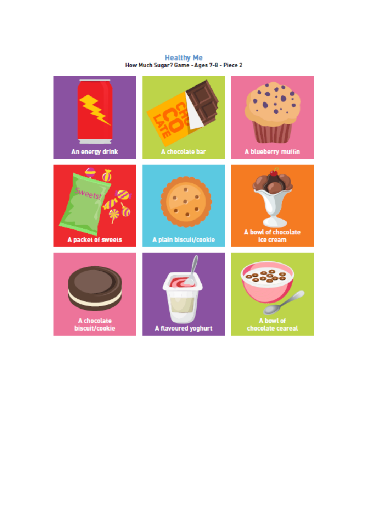Healthy Me<br>How Much Sugar? Game - Ages 7-8 - Piece 2